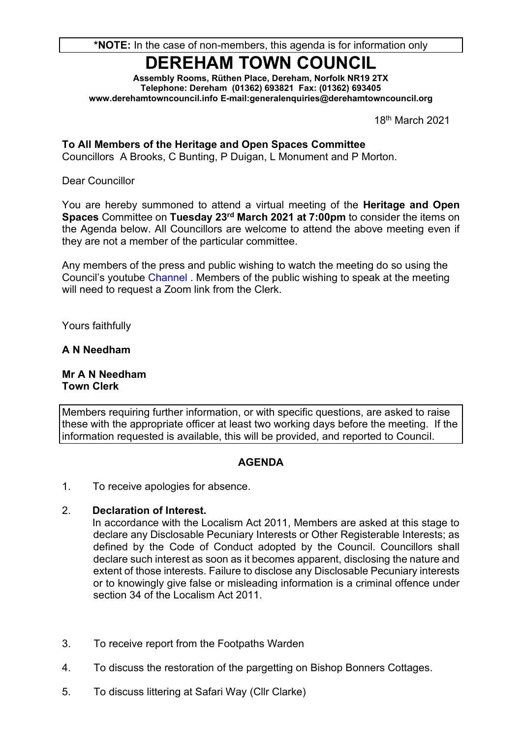# **DEREHAM TOWN COUNCIL**

**Assembly Rooms, Rüthen Place, Dereham, Norfolk NR19 2TX Telephone: Dereham (01362) 693821 Fax: (01362) 693405 www.derehamtowncouncil.info E-mail[:generalenquiries@d](mailto:derehamtc@btconnect.com)erehamtowncouncil.org**

18th March 2021

**To All Members of the Heritage and Open Spaces Committee**

Councillors A Brooks, C Bunting, P Duigan, L Monument and P Morton.

Dear Councillor

You are hereby summoned to attend a virtual meeting of the **Heritage and Open Spaces** Committee on Tuesday 23<sup>rd</sup> March 2021 at 7:00pm to consider the items on the Agenda below. All Councillors are welcome to attend the above meeting even if they are not a member of the particular committee.

Any members of the press and public wishing to watch the meeting do so using the Council's youtube [Channel](https://www.youtube.com/channel/UC-RPtCiNO6lBffJIJXAyTJw) . Members of the public wishing to speak at the meeting will need to request a Zoom link from the Clerk.

Yours faithfully

#### **A N Needham**

**Mr A N Needham Town Clerk**

Members requiring further information, or with specific questions, are asked to raise these with the appropriate officer at least two working days before the meeting. If the information requested is available, this will be provided, and reported to Council.

### **AGENDA**

1. To receive apologies for absence.

#### 2. **Declaration of Interest.**

In accordance with the Localism Act 2011, Members are asked at this stage to declare any Disclosable Pecuniary Interests or Other Registerable Interests; as defined by the Code of Conduct adopted by the Council. Councillors shall declare such interest as soon as it becomes apparent, disclosing the nature and extent of those interests. Failure to disclose any Disclosable Pecuniary interests or to knowingly give false or misleading information is a criminal offence under section 34 of the Localism Act 2011.

- 3. To receive report from the Footpaths Warden
- 4. To discuss the restoration of the pargetting on Bishop Bonners Cottages.
- 5. To discuss littering at Safari Way (Cllr Clarke)